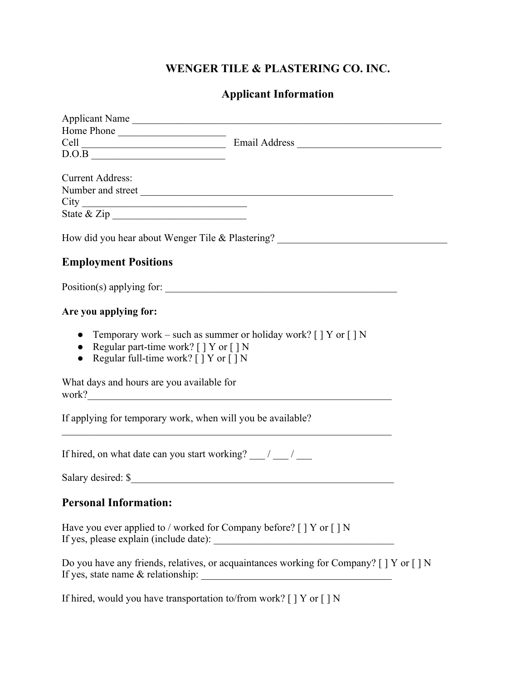## **WENGER TILE & PLASTERING CO. INC.**

## **Applicant Information**

|                                                                                                                                                                                                                    | Applicant Name |
|--------------------------------------------------------------------------------------------------------------------------------------------------------------------------------------------------------------------|----------------|
| Home Phone                                                                                                                                                                                                         |                |
|                                                                                                                                                                                                                    |                |
| D.O.B                                                                                                                                                                                                              |                |
| <b>Current Address:</b>                                                                                                                                                                                            |                |
| Number and street                                                                                                                                                                                                  |                |
|                                                                                                                                                                                                                    |                |
| State & Zip                                                                                                                                                                                                        |                |
| How did you hear about Wenger Tile & Plastering? _______________________________                                                                                                                                   |                |
| <b>Employment Positions</b>                                                                                                                                                                                        |                |
| Position(s) applying for:                                                                                                                                                                                          |                |
| Are you applying for:                                                                                                                                                                                              |                |
| Temporary work – such as summer or holiday work? $[ \ ]$ Y or $[ \ ]$ N<br>$\bullet$<br>Regular part-time work? $[$ $]$ Y or $[$ $]$ N<br>$\bullet$<br>Regular full-time work? $[$ $]$ Y or $[$ $]$ N<br>$\bullet$ |                |
| What days and hours are you available for                                                                                                                                                                          |                |
| If applying for temporary work, when will you be available?                                                                                                                                                        |                |
| If hired, on what date can you start working? __/ __/ __/                                                                                                                                                          |                |
|                                                                                                                                                                                                                    |                |
| <b>Personal Information:</b>                                                                                                                                                                                       |                |
| Have you ever applied to / worked for Company before? $[ \ ]$ Y or $[ \ ]$ N<br>If yes, please explain (include date):                                                                                             |                |

Do you have any friends, relatives, or acquaintances working for Company? [ ] Y or [ ] N If yes, state name  $\&$  relationship:  $\frac{1}{\sqrt{1-\frac{1}{2}}}\left\| \begin{array}{ccc} 1 & 1 & 1 \\ 1 & 1 & 1 \\ 1 & 1 & 1 \end{array} \right\|$ 

If hired, would you have transportation to/from work?  $[] Y$  or  $[] N$